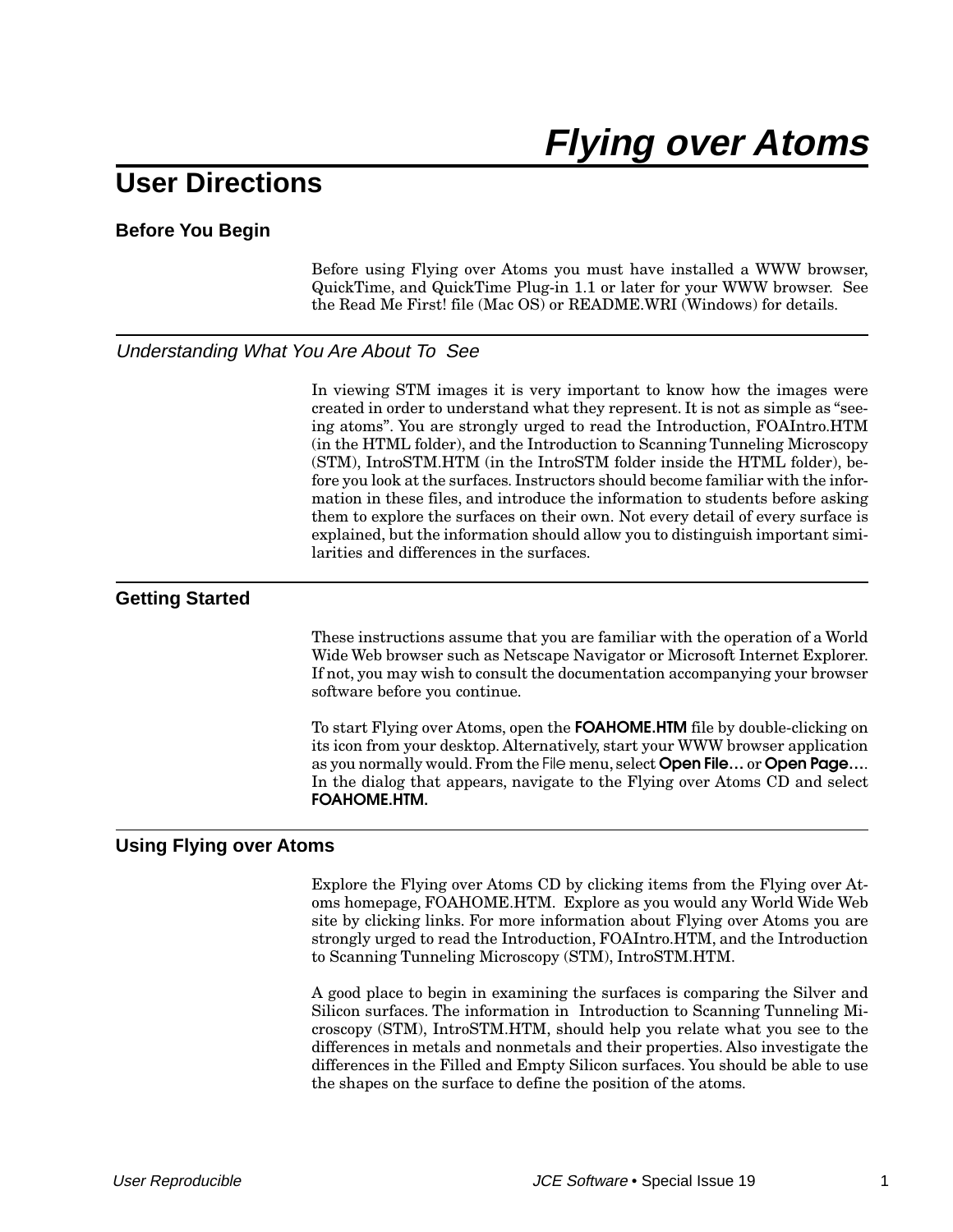# **User Directions**

## **Before You Begin**

Before using Flying over Atoms you must have installed a WWW browser, QuickTime, and QuickTime Plug-in 1.1 or later for your WWW browser. See the Read Me First! file (Mac OS) or README.WRI (Windows) for details.

### Understanding What You Are About To See

In viewing STM images it is very important to know how the images were created in order to understand what they represent. It is not as simple as "seeing atoms". You are strongly urged to read the Introduction, FOAIntro.HTM (in the HTML folder), and the Introduction to Scanning Tunneling Microscopy (STM), IntroSTM.HTM (in the IntroSTM folder inside the HTML folder), before you look at the surfaces. Instructors should become familiar with the information in these files, and introduce the information to students before asking them to explore the surfaces on their own. Not every detail of every surface is explained, but the information should allow you to distinguish important similarities and differences in the surfaces.

### **Getting Started**

These instructions assume that you are familiar with the operation of a World Wide Web browser such as Netscape Navigator or Microsoft Internet Explorer. If not, you may wish to consult the documentation accompanying your browser software before you continue.

To start Flying over Atoms, open the **FOAHOME.HTM** file by double-clicking on its icon from your desktop. Alternatively, start your WWW browser application as you normally would. From the File menu, select **Open File…** or **Open Page…**. In the dialog that appears, navigate to the Flying over Atoms CD and select **FOAHOME.HTM.**

#### **Using Flying over Atoms**

Explore the Flying over Atoms CD by clicking items from the Flying over Atoms homepage, FOAHOME.HTM. Explore as you would any World Wide Web site by clicking links. For more information about Flying over Atoms you are strongly urged to read the Introduction, FOAIntro.HTM, and the Introduction to Scanning Tunneling Microscopy (STM), IntroSTM.HTM.

A good place to begin in examining the surfaces is comparing the Silver and Silicon surfaces. The information in Introduction to Scanning Tunneling Microscopy (STM), IntroSTM.HTM, should help you relate what you see to the differences in metals and nonmetals and their properties. Also investigate the differences in the Filled and Empty Silicon surfaces. You should be able to use the shapes on the surface to define the position of the atoms.